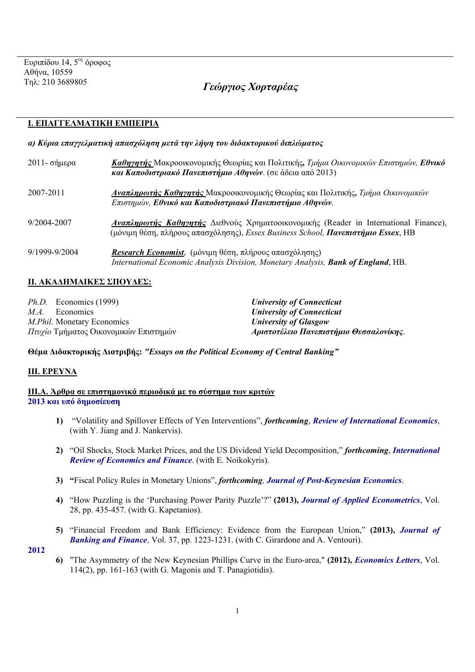# Τηλ: 210 3689805 *Γεώργιος Χορταρέας*

# **Ι. ΕΠΑΓΓΕΛΜΑΤΙΚΗ ΕΜΠΕΙΡΙΑ**

## *α) Κύρια επαγγελματική απασχόληση μετά την λήψη του διδακτορικού διπλώματος*

| 2011 - σήμερα | Καθηγητής Μακροοικονομικής Θεωρίας και Πολιτικής, Τμήμα Οικονομικών Επιστημών, Εθνικό<br>και Καποδιστριακό Πανεπιστήμιο Αθηνών. (σε άδεια από 2013)                                             |
|---------------|-------------------------------------------------------------------------------------------------------------------------------------------------------------------------------------------------|
| 2007-2011     | <b>Αναπληρωτής Καθηγητής</b> Μακροοικονομικής Θεωρίας και Πολιτικής, Τμήμα Οικονομικών<br>Επιστημών, Εθνικό και Καποδιστριακό Πανεπιστήμιο Αθηνών.                                              |
| 9/2004-2007   | <b>Αναπληρωτής Καθηγητής</b> Διεθνούς Χρηματοοικονομικής (Reader in International Finance),<br>(μόνιμη θέση, πλήρους απασχόλησης), <i>Essex Business School, <b>Πανεπιστήμιο Essex</b></i> , HB |
| 9/1999-9/2004 | Research Economist, (μόνιμη θέση, πλήρους απασχόλησης)<br>International Economic Analysis Division, Monetary Analysis, Bank of England, HB.                                                     |

# **IΙ. ΑΚΑΔΗΜΑΙΚΕΣ ΣΠΟΥΔΕΣ:**

| <i>Ph.D.</i> Economics (1999)         | <b>University of Connecticut</b>        |
|---------------------------------------|-----------------------------------------|
| M.A.<br>Economics                     | <b>University of Connecticut</b>        |
| <i>M.Phil.</i> Monetary Economics     | <b>University of Glasgow</b>            |
| Πτυχίο Τμήματος Οικονομικών Επιστημών | Αριστοτέλειο Πανεπιστήμιο Θεσσαλονίκης. |

**Θέμα Διδακτορικής Διατριβής:** *"Essays on the Political Economy of Central Banking"* 

# **ΙΙΙ. ΕΡΕΥΝΑ**

**ΙΙΙ.Α. Άρθρα σε επιστημονικά περιοδικά με το σύστημα των κριτών 2013 και υπό δημοσίευση**

- **1)** "Volatility and Spillover Effects of Yen Interventions", *forthcoming*, *Review of International Economics*, (with Y. Jiang and J. Nankervis).
- **2)** "Oil Shocks, Stock Market Prices, and the US Dividend Yield Decomposition," *forthcoming*, *International Review of Economics and Finance*. (with E. Noikokyris).
- **3) "**Fiscal Policy Rules in Monetary Unions", *forthcoming, Journal of Post-Keynesian Economics*.
- **4)** "How Puzzling is the 'Purchasing Power Parity Puzzle'?" **(2013),** *Journal of Applied Econometrics*, Vol. 28, pp. 435-457. (with G. Kapetanios).
- **5)** "Financial Freedom and Bank Efficiency: Evidence from the European Union," **(2013),** *Journal of Banking and Finance*, Vol. 37, pp. 1223-1231. (with C. Girardone and A. Ventouri).

**2012**

**6)** "The Asymmetry of the New Keynesian Phillips Curve in the Euro-area," **(2012),** *Economics Letters*, Vol. 114(2), pp. 161-163 (with G. Magonis and T. Panagiotidis).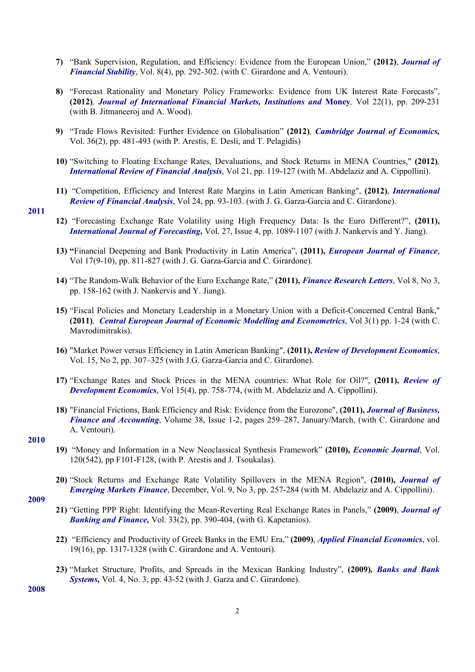- **7)** "Bank Supervision, Regulation, and Efficiency: Evidence from the European Union," **(2012)**, *Journal of Financial Stability*, Vol. 8(4), pp. 292-302. (with C. Girardone and A. Ventouri).
- **8)** "Forecast Rationality and Monetary Policy Frameworks: Evidence from UK Interest Rate Forecasts", **(2012)***, Journal of International Financial Markets, Institutions and* **Money***,* Vol 22(1), pp. 209-231 (with B. Jitmaneeroj and A. Wood).
- **9)** "Trade Flows Revisited: Further Evidence on Globalisation" **(2012)***, Cambridge Journal of Economics,*  Vol. 36(2), pp. 481-493 (with P. Arestis, E. Desli, and T. Pelagidis)
- **10)** "Switching to Floating Exchange Rates, Devaluations, and Stock Returns in MENA Countries," **(2012)***, International Review of Financial Analysis*, Vol 21, pp. 119-127 (with M. Abdelaziz and A. Cippollini).
- **11)** "Competition, Efficiency and Interest Rate Margins in Latin American Banking", **(2012)**, *International Review of Financial Analysis*, Vol 24, pp. 93-103. (with J. G. Garza-Garcia and C. Girardone).

#### **2011**

- **12)** "Forecasting Exchange Rate Volatility using High Frequency Data: Is the Euro Different?", **(2011),**  *International Journal of Forecasting,* Vol. 27, Issue 4, pp. 1089-1107 (with J. Nankervis and Y. Jiang).
- **13) "**Financial Deepening and Bank Productivity in Latin America", **(2011),** *European Journal of Finance*, Vol 17(9-10), pp. 811-827 (with J. G. Garza-Garcia and C. Girardone).
- **14)** "The Random-Walk Behavior of the Euro Exchange Rate," **(2011),** *Finance Research Letters*, Vol 8, No 3, pp. 158-162 (with J. Nankervis and Y. Jiang).
- **15)** "Fiscal Policies and Monetary Leadership in a Monetary Union with a Deficit-Concerned Central Bank," **(2011)***, Central European Journal of Economic Modelling and Econometrics*, Vol 3(1) pp. 1-24 (with C. Mavrodimitrakis).
- **16)** "Market Power versus Efficiency in Latin American Banking", **(2011),** *Review of Development Economics*, Vol. 15, No 2, pp. 307–325 (with J.G. Garza-Garcia and C. Girardone).
- **17)** "Exchange Rates and Stock Prices in the MENA countries: What Role for Oil?", **(2011),** *Review of Development Economics*, Vol 15(4), pp. 758-774, (with M. Abdelaziz and A. Cippollini).
- **18)** "Financial Frictions, Bank Efficiency and Risk: Evidence from the Eurozone", **(2011),** *Journal of Business, Finance and Accounting*, Volume 38, Issue 1-2, pages 259–287, January/March, (with C. Girardone and A. Ventouri).

## **2010**

- **19)** "Money and Information in a New Neoclassical Synthesis Framework" **(2010),** *Economic Journal*, Vol. 120(542), pp F101-F128, (with P. Arestis and J. Tsoukalas).
- **20)** "Stock Returns and Exchange Rate Volatility Spillovers in the MENA Region", **(2010),** *Journal of Emerging Markets Finance*, December, Vol. 9, No 3, pp. 257-284 (with M. Abdelaziz and A. Cippollini).

#### **2009**

- **21)** "Getting PPP Right: Identifying the Mean-Reverting Real Exchange Rates in Panels," **(2009)**, *Journal of Banking and Finance,* Vol. 33(2), pp. 390-404, (with G. Kapetanios).
- **22)** "Efficiency and Productivity of Greek Banks in the EMU Era," **(2009)**, *Applied Financial Economics*, vol. 19(16), pp. 1317-1328 (with C. Girardone and A. Ventouri).
- **23)** "Market Structure, Profits, and Spreads in the Mexican Banking Industry", **(2009)***, Banks and Bank Systems,* Vol. 4, No. 3, pp. 43-52 (with J. Garza and C. Girardone).

**2008**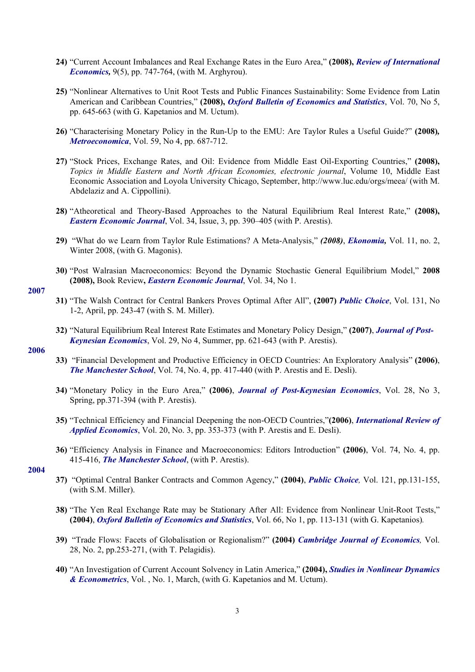- **24)** "Current Account Imbalances and Real Exchange Rates in the Euro Area," **(2008),** *Review of International Economics,* 9(5), pp. 747-764, (with M. Arghyrou).
- **25)** "Nonlinear Alternatives to Unit Root Tests and Public Finances Sustainability: Some Evidence from Latin American and Caribbean Countries," **(2008),** *Oxford Bulletin of Economics and Statistics*, Vol. 70, No 5, pp. 645-663 (with G. Kapetanios and M. Uctum).
- **26)** "Characterising Monetary Policy in the Run-Up to the EMU: Are Taylor Rules a Useful Guide?" **(2008)***, Metroeconomica*, Vol. 59, No 4, pp. 687-712.
- **27)** "Stock Prices, Exchange Rates, and Oil: Evidence from Middle East Oil-Exporting Countries," **(2008),** *Topics in Middle Eastern and North African Economies, electronic journal*, Volume 10, Middle East Economic Association and Loyola University Chicago, September, http://www.luc.edu/orgs/meea/ (with M. Abdelaziz and A. Cippollini).
- **28)** "Atheoretical and Theory-Based Approaches to the Natural Equilibrium Real Interest Rate," **(2008),** *Eastern Economic Journal*, Vol. 34, Issue, 3, pp. 390–405 (with P. Arestis).
- **29)** "What do we Learn from Taylor Rule Estimations? A Meta-Analysis," *(2008)*, *Ekonomia,* Vol. 11, no. 2, Winter 2008, (with G. Magonis).
- **30)** "Post Walrasian Macroeconomics: Beyond the Dynamic Stochastic General Equilibrium Model," **2008 (2008),** Book Review**,** *Eastern Economic Journal*, Vol. 34, No 1.

#### **2007**

- **31)** "The Walsh Contract for Central Bankers Proves Optimal After All", **(2007)** *Public Choice*, Vol. 131, No 1-2, April, pp. 243-47 (with S. M. Miller).
- **32)** "Natural Equilibrium Real Interest Rate Estimates and Monetary Policy Design," **(2007)**, *Journal of Post-Keynesian Economics*, Vol. 29, No 4, Summer, pp. 621-643 (with P. Arestis).

## **2006**

- **33)** "Financial Development and Productive Efficiency in OECD Countries: An Exploratory Analysis" **(2006)**, *The Manchester School*, Vol. 74, No. 4, pp. 417-440 (with P. Arestis and E. Desli).
- **34)** "Monetary Policy in the Euro Area," **(2006)**, *Journal of Post-Keynesian Economics*, Vol. 28, No 3, Spring, pp.371-394 (with P. Arestis).
- **35)** "Technical Efficiency and Financial Deepening the non-OECD Countries,"**(2006)**, *International Review of Applied Economics*, Vol. 20, No. 3, pp. 353-373 (with P. Arestis and E. Desli).
- **36)** "Efficiency Analysis in Finance and Macroeconomics: Editors Introduction" **(2006)**, Vol. 74, No. 4, pp. 415-416, *The Manchester School*, (with P. Arestis).

#### **2004**

- **37)** "Optimal Central Banker Contracts and Common Agency," **(2004)**, *Public Choice,* Vol. 121, pp.131-155, (with S.M. Miller).
- **38)** "The Yen Real Exchange Rate may be Stationary After All: Evidence from Nonlinear Unit-Root Tests," **(2004)**, *Oxford Bulletin of Economics and Statistics*, Vol. 66, No 1, pp. 113-131 (with G. Kapetanios)*.*
- **39)** "Trade Flows: Facets of Globalisation or Regionalism?" **(2004)** *Cambridge Journal of Economics,* Vol. 28, No. 2, pp.253-271, (with T. Pelagidis).
- **40)** "An Investigation of Current Account Solvency in Latin America," **(2004),** *Studies in Nonlinear Dynamics & Econometrics*, Vol. , No. 1, March, (with G. Kapetanios and M. Uctum).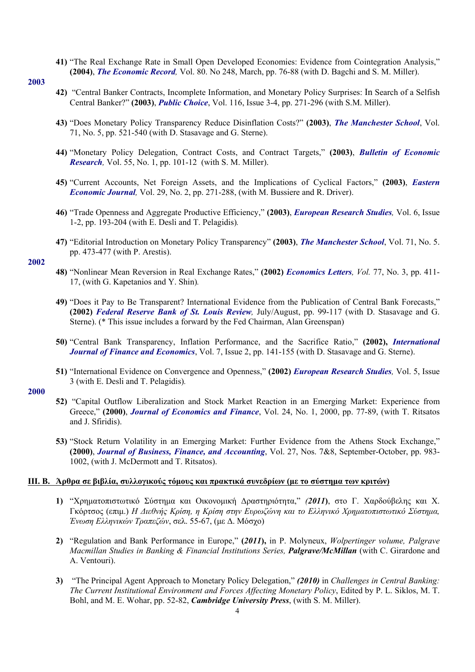**41)** "The Real Exchange Rate in Small Open Developed Economies: Evidence from Cointegration Analysis," **(2004)**, *The Economic Record,* Vol. 80. No 248, March, pp. 76-88 (with D. Bagchi and S. M. Miller).

#### **2003**

- **42)** "Central Banker Contracts, Incomplete Information, and Monetary Policy Surprises: In Search of a Selfish Central Banker?" **(2003)**, *Public Choice*, Vol. 116, Issue 3-4, pp. 271-296 (with S.M. Miller).
- **43)** "Does Monetary Policy Transparency Reduce Disinflation Costs?" **(2003)**, *The Manchester School*, Vol. 71, No. 5, pp. 521-540 (with D. Stasavage and G. Sterne).
- **44)** "Monetary Policy Delegation, Contract Costs, and Contract Targets," **(2003)**, *Bulletin of Economic Research,* Vol. 55, No. 1, pp. 101-12 (with S. M. Miller).
- **45)** "Current Accounts, Net Foreign Assets, and the Implications of Cyclical Factors," **(2003)**, *Eastern Economic Journal,* Vol. 29, No. 2, pp. 271-288, (with M. Bussiere and R. Driver).
- **46)** "Trade Openness and Aggregate Productive Efficiency," **(2003)**, *European Research Studies,* Vol. 6, Issue 1-2, pp. 193-204 (with E. Desli and T. Pelagidis)*.*
- **47)** "Editorial Introduction on Monetary Policy Transparency" **(2003)**, *The Manchester School*, Vol. 71, No. 5. pp. 473-477 (with P. Arestis).

## **2002**

- **48)** "Nonlinear Mean Reversion in Real Exchange Rates," **(2002)** *Economics Letters, Vol.* 77, No. 3, pp. 411- 17, (with G. Kapetanios and Y. Shin)*.*
- **49)** "Does it Pay to Be Transparent? International Evidence from the Publication of Central Bank Forecasts," **(2002)** *Federal Reserve Bank of St. Louis Review,* July/August, pp. 99-117 (with D. Stasavage and G. Sterne). (\* This issue includes a forward by the Fed Chairman, Alan Greenspan)
- **50)** "Central Bank Transparency, Inflation Performance, and the Sacrifice Ratio," **(2002),** *International Journal of Finance and Economics*, Vol. 7, Issue 2, pp. 141-155 (with D. Stasavage and G. Sterne).
- **51)** "International Evidence on Convergence and Openness," **(2002)** *European Research Studies,* Vol. 5, Issue 3 (with E. Desli and T. Pelagidis)*.*

## **2000**

- **52)** "Capital Outflow Liberalization and Stock Market Reaction in an Emerging Market: Experience from Greece," **(2000)**, *Journal of Economics and Finance*, Vol. 24, No. 1, 2000, pp. 77-89, (with T. Ritsatos and J. Sfiridis).
- **53)** "Stock Return Volatility in an Emerging Market: Further Evidence from the Athens Stock Exchange," **(2000)**, *Journal of Business, Finance, and Accounting*, Vol. 27, Nos. 7&8, September-October, pp. 983- 1002, (with J. McDermott and T. Ritsatos).

#### ΠΙ. Β. Αρθρα σε βιβλία, συλλογικούς τόμους και πρακτικά συνεδρίων (με το σύστημα των κριτών)

- **1)** "Χρηματοπιστωτικό Σύστημα και Οικονομική Δραστηριότητα," *(2011***)**, στο Γ. Χαρδούβελης και Χ. Γκόρτσος (επιμ.) *Η Διεθνής Κρίση, η Κρίση στην Ευρωζώνη και το Ελληνικό Χρηματοπιστωτικό Σύστημα, Ένωση Ελληνικών Τραπεζών*, σελ. 55-67, (με Δ. Μόσχο)
- **2)** "Regulation and Bank Performance in Europe," **(***2011***),** in P. Molyneux, *Wolpertinger volume, Palgrave Macmillan Studies in Banking & Financial Institutions Series, Palgrave/McMillan* (with C. Girardone and A. Ventouri).
- **3)** "The Principal Agent Approach to Monetary Policy Delegation," *(2010)* in *Challenges in Central Banking: The Current Institutional Environment and Forces Affecting Monetary Policy*, Edited by P. L. Siklos, M. T. Bohl, and M. E. Wohar, pp. 52-82, *Cambridge University Press*, (with S. M. Miller).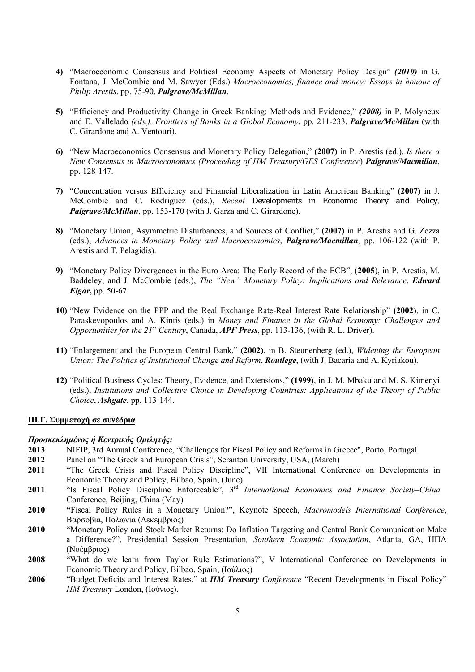- **4)** "Macroeconomic Consensus and Political Economy Aspects of Monetary Policy Design" *(2010)* in G. Fontana, J. McCombie and M. Sawyer (Eds.) *Macroeconomics, finance and money: Essays in honour of Philip Arestis*, pp. 75-90, *Palgrave/McMillan*.
- **5)** "Efficiency and Productivity Change in Greek Banking: Methods and Evidence," *(2008)* in P. Molyneux and E. Vallelado *(eds.), Frontiers of Banks in a Global Economy*, pp. 211-233, *Palgrave/McMillan* (with C. Girardone and A. Ventouri).
- **6)** "New Macroeconomics Consensus and Monetary Policy Delegation," **(2007)** in P. Arestis (ed.), *Is there a New Consensus in Macroeconomics (Proceeding of HM Treasury/GES Conference*) *Palgrave/Macmillan*, pp. 128-147.
- **7)** "Concentration versus Efficiency and Financial Liberalization in Latin American Banking" **(2007)** in J. McCombie and C. Rodriguez (eds.), *Recent Developments in Economic Theory and Policy, Palgrave/McMillan*, pp. 153-170 (with J. Garza and C. Girardone).
- **8)** "Monetary Union, Asymmetric Disturbances, and Sources of Conflict," **(2007)** in P. Arestis and G. Zezza (eds.), *Advances in Monetary Policy and Macroeconomics*, *Palgrave/Macmillan*, pp. 106-122 (with P. Arestis and T. Pelagidis).
- **9)** "Monetary Policy Divergences in the Euro Area: The Early Record of the ECB", (**2005**), in P. Arestis, M. Baddeley, and J. McCombie (eds.), *The "New" Monetary Policy: Implications and Relevance*, *Edward Elgar***,** pp. 50-67.
- **10)** "New Evidence on the PPP and the Real Exchange Rate-Real Interest Rate Relationship" **(2002)**, in C. Paraskevopoulos and A. Kintis (eds.) in *Money and Finance in the Global Economy: Challenges and Opportunities for the 21st Century*, Canada, *APF Press*, pp. 113-136, (with R. L. Driver).
- **11)** "Enlargement and the European Central Bank," **(2002)**, in B. Steunenberg (ed.), *Widening the European Union: The Politics of Institutional Change and Reform*, *Routlege*, (with J. Bacaria and A. Kyriakou)*.*
- **12)** "Political Business Cycles: Theory, Evidence, and Extensions," **(1999)**, in J. M. Mbaku and M. S. Kimenyi (eds.), *Institutions and Collective Choice in Developing Countries: Applications of the Theory of Public Choice*, *Ashgate*, pp. 113-144.

## **ΙΙΙ.Γ. Συμμετοχή σε συνέδρια**

#### *Προσκεκλημένος ή Κεντρικός Ομιλητής:*

- **2013** NIFIP, 3rd Annual Conference, "Challenges for Fiscal Policy and Reforms in Greece", Porto, Portugal
- **2012** Panel on "The Greek and European Crisis", Scranton University, USA, (March)
- 2011 "The Greek Crisis and Fiscal Policy Discipline", VII International Conference on Developments in Economic Theory and Policy, Bilbao, Spain, (June)
- **2011** "Is Fiscal Policy Discipline Enforceable", 3rd *International Economics and Finance Society–China* Conference, Beijing, China (May)
- **2010 "**Fiscal Policy Rules in a Monetary Union?", Keynote Speech, *Macromodels International Conference*, Βαρσοβία, Πολωνία (Δεκέμβριος)
- **2010** "Monetary Policy and Stock Market Returns: Do Inflation Targeting and Central Bank Communication Make a Difference?", Presidential Session Presentation*, Southern Economic Association*, Atlanta, GA, ΗΠΑ (Νοέμβριος)
- **2008** "What do we learn from Taylor Rule Estimations?", V International Conference on Developments in Economic Theory and Policy, Bilbao, Spain, (Ιούλιος)
- **2006** "Budget Deficits and Interest Rates," at *HM Treasury Conference* "Recent Developments in Fiscal Policy" *HM Treasury* London, (Ιούνιος).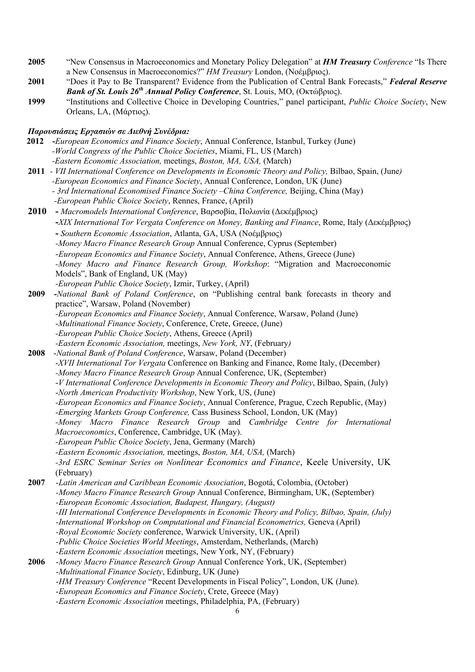**2005** "New Consensus in Macroeconomics and Monetary Policy Delegation" at *HM Treasury Conference* "Is There a New Consensus in Macroeconomics?" *HM Treasury* London, (Νοέμβριος).

**1999** "Institutions and Collective Choice in Developing Countries," panel participant, *Public Choice Society*, New Orleans, LA, (Μάρτιος).

## *Παρουσιάσεις Εργασιών σε Διεθνή Συνέδρια:*

- **2012 -***European Economics and Finance Society*, Annual Conference, Istanbul, Turkey (June) *-World Congress of the Public Choice Societies*, Miami, FL, US (March)  *-Eastern Economic Association,* meetings, *Boston, MA, USA,* (March)
- **2011**  *VII International Conference on Developments in Economic Theory and Policy,* Bilbao, Spain, (June*) -European Economics and Finance Society*, Annual Conference, London, UK (June)  *- 3rd International Economised Finance Society –China Conference,* Beijing, China (May)
	- *-European Public Choice Society*, Rennes, France, (April)
- **2010 -** *Macromodels International Conference*, Βαρσοβία, Πολωνία (Δεκέμβριος)  **-***XIX International Tor Vergata Conference on Money, Banking and Finance*, Rome, Italy (Δεκέμβριος)  **-** *Southern Economic Association*, Atlanta, GA, USA (Νοέμβριος)  *-Money Macro Finance Research Group* Annual Conference, Cyprus (September)  *-European Economics and Finance Society*, Annual Conference, Athens, Greece (June)  *-Money Macro and Finance Research Group, Workshop*: "Migration and Macroeconomic Models", Bank of England, UK (May)  *-European Public Choice Society*, Izmir, Turkey, (April) **2009 -***National Bank of Poland Conference*, on "Publishing central bank forecasts in theory and practice", Warsaw, Poland (November)
- *-European Economics and Finance Society*, Annual Conference, Warsaw, Poland (June) -*Multinational Finance Society*, Conference, Crete, Greece, (June) *-European Public Choice Society*, Athens, Greece (April) *-Eastern Economic Association,* meetings, *New York, NY*, (February*)*
- **2008** -*National Bank of Poland Conference*, Warsaw, Poland (December) -*XVII International Tor Vergata* Conference on Banking and Finance, Rome Italy, (December) *-Money Macro Finance Research Group* Annual Conference, UK, (September) -*V International Conference Developments in Economic Theory and Policy*, Bilbao, Spain, (July) -*North American Productivity Workshop*, New York, US, (June) *-European Economics and Finance Society*, Annual Conference, Prague, Czech Republic, (May) -*Emerging Markets Group Conference,* Cass Business School, London, UK (May) *-Money Macro Finance Research Group* and *Cambridge Centre for International Macroeconomics*, Conference, Cambridge, UK (May). *-European Public Choice Society*, Jena, Germany (March) *-Eastern Economic Association,* meetings, *Boston, MA, USA,* (March) *-3rd ESRC Seminar Series on Nonlinear Economics and Finance*, Keele University, UK (February) **2007** -*Latin American and Caribbean Economic Association*, Bogotá, Colombia, (October)  *-Money Macro Finance Research Group* Annual Conference, Birmingham, UK, (September) *-European Economic Association, Budapest, Hungary, (August) -III International Conference Developments in Economic Theory and Policy, Bilbao, Spain, (July) -International Workshop on Computational and Financial Econometrics,* Geneva (April) *-Royal Economic Society* conference, Warwick University, UK, (April) *-Public Choice Societies World Meetings*, Amsterdam, Netherlands, (March)  *-Eastern Economic Association* meetings, New York, NY, (February) **2006** -*Money Macro Finance Research Group* Annual Conference York, UK, (September) -*Multinational Finance Society*, Edinburg, UK (June) -*HM Treasury Conference* "Recent Developments in Fiscal Policy", London, UK (June). -*European Economics and Finance Society*, Crete, Greece (May)
	- *-Eastern Economic Association* meetings, Philadelphia, PA, (February)

**<sup>2001</sup>** "Does it Pay to Be Transparent? Evidence from the Publication of Central Bank Forecasts," *Federal Reserve Bank of St. Louis 26th Annual Policy Conference*, St. Louis, MO, (Οκτώβριος).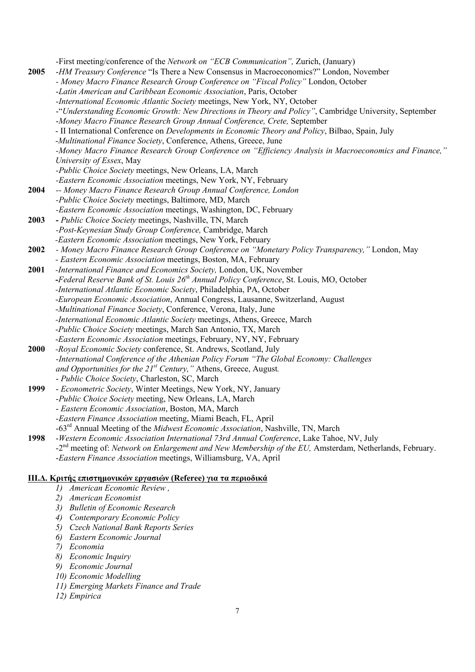-First meeting/conference of the *Network on "ECB Communication",* Zurich, (January) **2005** -*HM Treasury Conference* "Is There a New Consensus in Macroeconomics?" London, November *- Money Macro Finance Research Group Conference on "Fiscal Policy"* London, October -*Latin American and Caribbean Economic Association*, Paris, October *-International Economic Atlantic Society* meetings, New York, NY, October -"*Understanding Economic Growth: New Directions in Theory and Policy"*, Cambridge University, September -*Money Macro Finance Research Group Annual Conference, Crete,* September - II International Conference on *Developments in Economic Theory and Policy*, Bilbao, Spain, July -*Multinational Finance Society*, Conference, Athens, Greece, June *-Money Macro Finance Research Group Conference on "Efficiency Analysis in Macroeconomics and Finance," University of Essex*, May *-Public Choice Society* meetings, New Orleans, LA, March  *-Eastern Economic Association* meetings, New York, NY, February **2004** *-- Money Macro Finance Research Group Annual Conference, London -Public Choice Society* meetings, Baltimore, MD, March  *-Eastern Economic Association* meetings, Washington, DC, February **2003 -** *Public Choice Society* meetings, Nashville, TN, March  *-Post-Keynesian Study Group Conference,* Cambridge, March *-Eastern Economic Association* meetings, New York, February **2002** *- Money Macro Finance Research Group Conference on "Monetary Policy Transparency,"* London, May  *- Eastern Economic Association* meetings, Boston, MA, February **2001** *-International Finance and Economics Society,* London, UK, November **-***Federal Reserve Bank of St. Louis 26th Annual Policy Conference*, St. Louis, MO, October  *-International Atlantic Economic Society*, Philadelphia, PA, October -*European Economic Association*, Annual Congress, Lausanne, Switzerland, August -*Multinational Finance Society*, Conference, Verona, Italy, June *-International Economic Atlantic Society* meetings, Athens, Greece, March -*Public Choice Society* meetings, March San Antonio, TX, March -*Eastern Economic Association* meetings, February, NY, NY, February **2000** *-Royal Economic Society* conference, St. Andrews, Scotland, July *-International Conference of the Athenian Policy Forum "The Global Economy: Challenges and Opportunities for the 21st Century,"* Athens, Greece, August*.*  - *Public Choice Society*, Charleston, SC, March **1999** - *Econometric Society*, Winter Meetings, New York, NY, January -*Public Choice Society* meeting, New Orleans, LA, March - *Eastern Economic Association*, Boston, MA, March -*Eastern Finance Association* meeting, Miami Beach, FL, April -63rd Annual Meeting of the *Midwest Economic Association*, Nashville, TN, March **1998** -*Western Economic Association International 73rd Annual Conference*, Lake Tahoe, NV, July -2nd meeting of: *Network on Enlargement and New Membership of the EU,* Amsterdam, Netherlands, February. -*Eastern Finance Association* meetings, Williamsburg, VA, April **IΙΙ.Δ. Κριτής επιστημονικών εργασιών (Referee) για τα περιοδικά**

- *1) American Economic Review ,*
- *2) American Economist*
- *3) Bulletin of Economic Research*
- *4) Contemporary Economic Policy*
- *5) Czech National Bank Reports Series*
- *6) Eastern Economic Journal*
- *7) Economia*
- *8) Economic Inquiry*
- *9) Economic Journal*
- *10) Economic Modelling*
- *11) Emerging Markets Finance and Trade*
- *12) Empirica*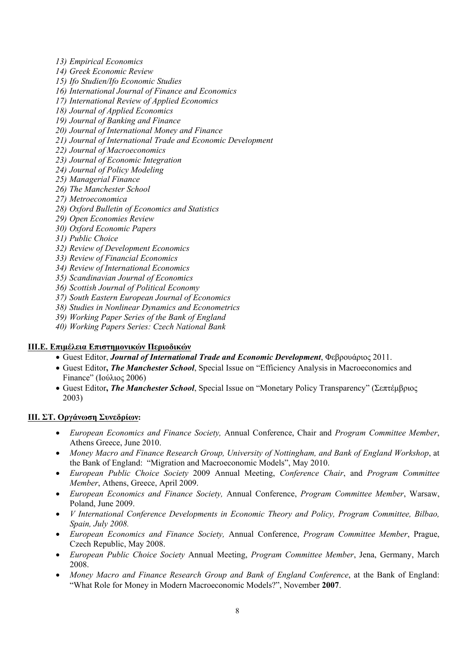- *13) Empirical Economics*
- *14) Greek Economic Review*
- *15) Ifo Studien/Ifo Economic Studies*
- *16) International Journal of Finance and Economics*
- *17) International Review of Applied Economics*
- *18) Journal of Applied Economics*
- *19) Journal of Banking and Finance*
- *20) Journal of International Money and Finance*
- *21) Journal of International Trade and Economic Development*
- *22) Journal of Macroeconomics*
- *23) Journal of Economic Integration*
- *24) Journal of Policy Modeling*
- *25) Managerial Finance*
- *26) The Manchester School*
- *27) Metroeconomica*
- *28) Oxford Bulletin of Economics and Statistics*
- *29) Open Economies Review*
- *30) Oxford Economic Papers*
- *31) Public Choice*
- *32) Review of Development Economics*
- *33) Review of Financial Economics*
- *34) Review of International Economics*
- *35) Scandinavian Journal of Economics*
- *36) Scottish Journal of Political Economy*
- *37) South Eastern European Journal of Economics*
- *38) Studies in Nonlinear Dynamics and Econometrics*
- *39) Working Paper Series of the Bank of England*
- *40) Working Papers Series: Czech National Bank*

# **IΙΙ.Ε. Επιμέλεια Επιστημονικών Περιοδικών**

- Guest Editor, *Journal of International Trade and Economic Development*, Φεβρουάριος 2011.
- Guest Editor**,** *The Manchester School*, Special Issue on "Efficiency Analysis in Macroeconomics and Finance" (Ιούλιος 2006)
- Guest Editor**,** *The Manchester School*, Special Issue on "Monetary Policy Transparency" (Σεπτέμβριος 2003)

# **IΙΙ. ΣΤ. Οργάνωση Συνεδρίων:**

- *European Economics and Finance Society,* Annual Conference, Chair and *Program Committee Member*, Athens Greece, June 2010.
- *Money Macro and Finance Research Group, University of Nottingham, and Bank of England Workshop*, at the Bank of England: "Migration and Macroeconomic Models", May 2010.
- *European Public Choice Society* 2009 Annual Meeting, *Conference Chair*, and *Program Committee Member*, Athens, Greece, April 2009.
- *European Economics and Finance Society,* Annual Conference, *Program Committee Member*, Warsaw, Poland, June 2009.
- *V International Conference Developments in Economic Theory and Policy, Program Committee, Bilbao, Spain, July 2008.*
- *European Economics and Finance Society,* Annual Conference, *Program Committee Member*, Prague, Czech Republic, May 2008.
- *European Public Choice Society* Annual Meeting, *Program Committee Member*, Jena, Germany, March 2008.
- *Money Macro and Finance Research Group and Bank of England Conference*, at the Bank of England: "What Role for Money in Modern Macroeconomic Models?", November **2007**.